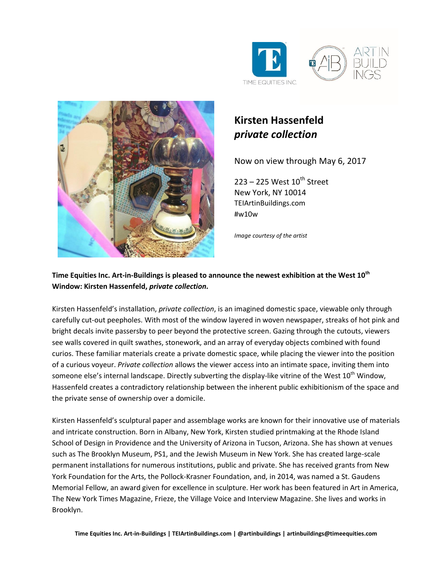



## **Kirsten Hassenfeld** *private collection*

Now on view through May 6, 2017

 $223 - 225$  West  $10^{th}$  Street New York, NY 10014 TEIArtinBuildings.com #w10w

*Image courtesy of the artist*

## **Time Equities Inc. Art-in-Buildings is pleased to announce the newest exhibition at the West 10th Window: Kirsten Hassenfeld,** *private collection.*

Kirsten Hassenfeld's installation, *private collection*, is an imagined domestic space, viewable only through carefully cut-out peepholes. With most of the window layered in woven newspaper, streaks of hot pink and bright decals invite passersby to peer beyond the protective screen. Gazing through the cutouts, viewers see walls covered in quilt swathes, stonework, and an array of everyday objects combined with found curios. These familiar materials create a private domestic space, while placing the viewer into the position of a curious voyeur. *Private collection* allows the viewer access into an intimate space, inviting them into someone else's internal landscape. Directly subverting the display-like vitrine of the West 10<sup>th</sup> Window, Hassenfeld creates a contradictory relationship between the inherent public exhibitionism of the space and the private sense of ownership over a domicile.

Kirsten Hassenfeld's sculptural paper and assemblage works are known for their innovative use of materials and intricate construction. Born in Albany, New York, Kirsten studied printmaking at the Rhode Island School of Design in Providence and the University of Arizona in Tucson, Arizona. She has shown at venues such as The Brooklyn Museum, PS1, and the Jewish Museum in New York. She has created large-scale permanent installations for numerous institutions, public and private. She has received grants from New York Foundation for the Arts, the Pollock-Krasner Foundation, and, in 2014, was named a St. Gaudens Memorial Fellow, an award given for excellence in sculpture. Her work has been featured in Art in America, The New York Times Magazine, Frieze, the Village Voice and Interview Magazine. She lives and works in Brooklyn.